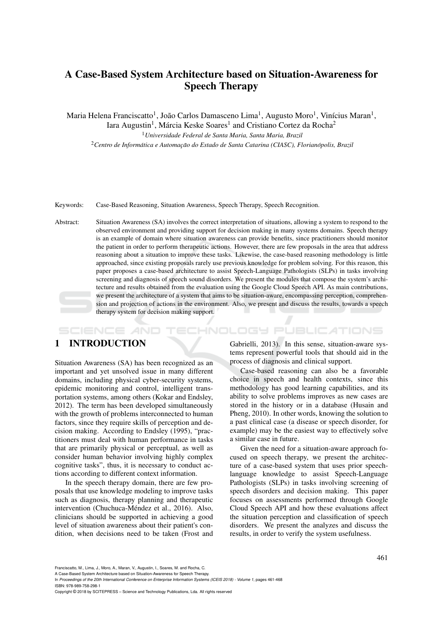# A Case-Based System Architecture based on Situation-Awareness for Speech Therapy

Maria Helena Franciscatto<sup>1</sup>, João Carlos Damasceno Lima<sup>1</sup>, Augusto Moro<sup>1</sup>, Vinícius Maran<sup>1</sup>, Iara Augustin<sup>1</sup>, Márcia Keske Soares<sup>1</sup> and Cristiano Cortez da Rocha<sup>2</sup>

<sup>1</sup>*Universidade Federal de Santa Maria, Santa Maria, Brazil* <sup>2</sup> Centro de Informática e Automacão do Estado de Santa Catarina (CIASC), Florianópolis, Brazil

Keywords: Case-Based Reasoning, Situation Awareness, Speech Therapy, Speech Recognition.

Abstract: Situation Awareness (SA) involves the correct interpretation of situations, allowing a system to respond to the observed environment and providing support for decision making in many systems domains. Speech therapy is an example of domain where situation awareness can provide benefits, since practitioners should monitor the patient in order to perform therapeutic actions. However, there are few proposals in the area that address reasoning about a situation to improve these tasks. Likewise, the case-based reasoning methodology is little approached, since existing proposals rarely use previous knowledge for problem solving. For this reason, this paper proposes a case-based architecture to assist Speech-Language Pathologists (SLPs) in tasks involving screening and diagnosis of speech sound disorders. We present the modules that compose the system's architecture and results obtained from the evaluation using the Google Cloud Speech API. As main contributions, we present the architecture of a system that aims to be situation-aware, encompassing perception, comprehension and projection of actions in the environment. Also, we present and discuss the results, towards a speech therapy system for decision making support.

HNOLOGY PUBLICATIONS SCIENCE *A*ND

# 1 INTRODUCTION

Situation Awareness (SA) has been recognized as an important and yet unsolved issue in many different domains, including physical cyber-security systems, epidemic monitoring and control, intelligent transportation systems, among others (Kokar and Endsley, 2012). The term has been developed simultaneously with the growth of problems interconnected to human factors, since they require skills of perception and decision making. According to Endsley (1995), "practitioners must deal with human performance in tasks that are primarily physical or perceptual, as well as consider human behavior involving highly complex cognitive tasks", thus, it is necessary to conduct actions according to different context information.

In the speech therapy domain, there are few proposals that use knowledge modeling to improve tasks such as diagnosis, therapy planning and therapeutic intervention (Chuchuca-Méndez et al., 2016). Also, clinicians should be supported in achieving a good level of situation awareness about their patient's condition, when decisions need to be taken (Frost and

Gabrielli, 2013). In this sense, situation-aware systems represent powerful tools that should aid in the process of diagnosis and clinical support.

Case-based reasoning can also be a favorable choice in speech and health contexts, since this methodology has good learning capabilities, and its ability to solve problems improves as new cases are stored in the history or in a database (Husain and Pheng, 2010). In other words, knowing the solution to a past clinical case (a disease or speech disorder, for example) may be the easiest way to effectively solve a similar case in future.

Given the need for a situation-aware approach focused on speech therapy, we present the architecture of a case-based system that uses prior speechlanguage knowledge to assist Speech-Language Pathologists (SLPs) in tasks involving screening of speech disorders and decision making. This paper focuses on assessments performed through Google Cloud Speech API and how these evaluations affect the situation perception and classification of speech disorders. We present the analyzes and discuss the results, in order to verify the system usefulness.

Franciscatto, M., Lima, J., Moro, A., Maran, V., Augustin, I., Soares, M. and Rocha, C.

A Case-Based System Architecture based on Situation-Awareness for Speech Therapy.

Copyright © 2018 by SCITEPRESS – Science and Technology Publications, Lda. All rights reserved

In *Proceedings of the 20th International Conference on Enterprise Information Systems (ICEIS 2018) - Volume 1*, pages 461-468 ISBN: 978-989-758-298-1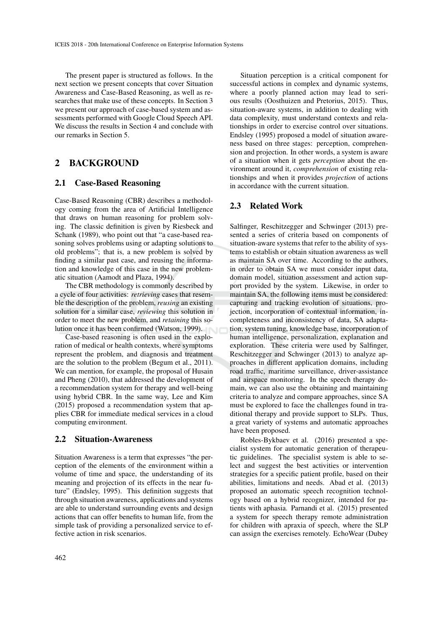The present paper is structured as follows. In the next section we present concepts that cover Situation Awareness and Case-Based Reasoning, as well as researches that make use of these concepts. In Section 3 we present our approach of case-based system and assessments performed with Google Cloud Speech API. We discuss the results in Section 4 and conclude with our remarks in Section 5.

# 2 BACKGROUND

### 2.1 Case-Based Reasoning

Case-Based Reasoning (CBR) describes a methodology coming from the area of Artificial Intelligence that draws on human reasoning for problem solving. The classic definition is given by Riesbeck and Schank (1989), who point out that "a case-based reasoning solves problems using or adapting solutions to old problems"; that is, a new problem is solved by finding a similar past case, and reusing the information and knowledge of this case in the new problematic situation (Aamodt and Plaza, 1994).

The CBR methodology is commonly described by a cycle of four activities: *retrieving* cases that resemble the description of the problem, *reusing* an existing solution for a similar case, *reviewing* this solution in order to meet the new problem, and *retaining* this solution once it has been confirmed (Watson, 1999).

Case-based reasoning is often used in the exploration of medical or health contexts, where symptoms represent the problem, and diagnosis and treatment are the solution to the problem (Begum et al., 2011). We can mention, for example, the proposal of Husain and Pheng (2010), that addressed the development of a recommendation system for therapy and well-being using hybrid CBR. In the same way, Lee and Kim (2015) proposed a recommendation system that applies CBR for immediate medical services in a cloud computing environment.

#### 2.2 Situation-Awareness

Situation Awareness is a term that expresses "the perception of the elements of the environment within a volume of time and space, the understanding of its meaning and projection of its effects in the near future" (Endsley, 1995). This definition suggests that through situation awareness, applications and systems are able to understand surrounding events and design actions that can offer benefits to human life, from the simple task of providing a personalized service to effective action in risk scenarios.

Situation perception is a critical component for successful actions in complex and dynamic systems, where a poorly planned action may lead to serious results (Oosthuizen and Pretorius, 2015). Thus, situation-aware systems, in addition to dealing with data complexity, must understand contexts and relationships in order to exercise control over situations. Endsley (1995) proposed a model of situation awareness based on three stages: perception, comprehension and projection. In other words, a system is aware of a situation when it gets *perception* about the environment around it, *comprehension* of existing relationships and when it provides *projection* of actions in accordance with the current situation.

### 2.3 Related Work

Salfinger, Reschitzegger and Schwinger (2013) presented a series of criteria based on components of situation-aware systems that refer to the ability of systems to establish or obtain situation awareness as well as maintain SA over time. According to the authors, in order to obtain SA we must consider input data, domain model, situation assessment and action support provided by the system. Likewise, in order to maintain SA, the following items must be considered: capturing and tracking evolution of situations, projection, incorporation of contextual information, incompleteness and inconsistency of data, SA adaptation, system tuning, knowledge base, incorporation of human intelligence, personalization, explanation and exploration. These criteria were used by Salfinger, Reschitzegger and Schwinger (2013) to analyze approaches in different application domains, including road traffic, maritime surveillance, driver-assistance and airspace monitoring. In the speech therapy domain, we can also use the obtaining and maintaining criteria to analyze and compare approaches, since SA must be explored to face the challenges found in traditional therapy and provide support to SLPs. Thus, a great variety of systems and automatic approaches have been proposed.

Robles-Bykbaev et al. (2016) presented a specialist system for automatic generation of therapeutic guidelines. The specialist system is able to select and suggest the best activities or intervention strategies for a specific patient profile, based on their abilities, limitations and needs. Abad et al. (2013) proposed an automatic speech recognition technology based on a hybrid recognizer, intended for patients with aphasia. Parnandi et al. (2015) presented a system for speech therapy remote administration for children with apraxia of speech, where the SLP can assign the exercises remotely. EchoWear (Dubey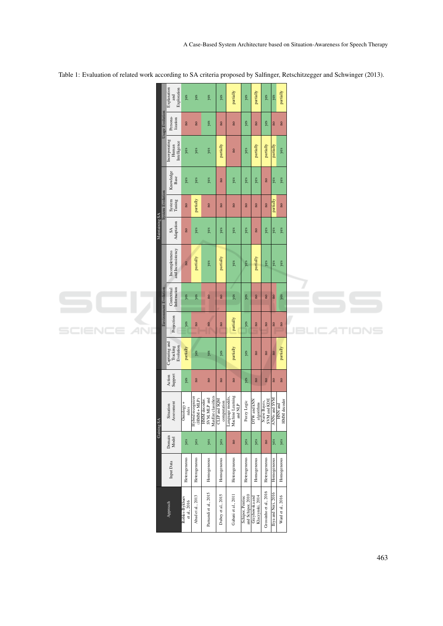|                        |                                           | Explanation<br>Exploration<br>and                    | yes                            | yes                                                                              | yes                                                                | yes                     | partially                                             | yes                                                                         | partially                     | yes                         | yes                     | partially               |           |
|------------------------|-------------------------------------------|------------------------------------------------------|--------------------------------|----------------------------------------------------------------------------------|--------------------------------------------------------------------|-------------------------|-------------------------------------------------------|-----------------------------------------------------------------------------|-------------------------------|-----------------------------|-------------------------|-------------------------|-----------|
|                        | Usage Evolution                           | Persona-<br>lization                                 | $\mathbf{S}$                   | $\mathbf{S}$                                                                     | yes                                                                | $\mathbf{R}$            | $\mathbf{a}$                                          | yes                                                                         | $\mathbf{R}$                  | yes                         | $\mathbf{S}$            | $\mathbf{S}$            |           |
|                        |                                           | Incorporating<br>Intelligence<br>Human               | yes                            | yes                                                                              | yes                                                                | partially               | $\mathsf B$                                           | yes                                                                         | partially                     | partially                   | partially               | yes                     |           |
|                        | <b>System Evolution</b><br>Maintaining SA | Knowledge<br>Base                                    | yes                            | yes                                                                              | yes                                                                | $\mathbf{R}$            | yes                                                   | yes                                                                         | yes                           | $\mathbf{e}$                | yes                     | yes                     |           |
|                        |                                           | System<br>Tuning                                     | $\mathbf{a}$                   | partially                                                                        | $\overline{\mathbf{a}}$                                            | $\overline{\mathbf{n}}$ | $\overline{\mathbf{a}}$                               | no                                                                          | $\mathbf{a}$                  | $\overline{\mathbf{n}}$     | partially               | $\overline{\mathbf{n}}$ |           |
|                        |                                           | SA<br>Adaptation                                     | $\mathbf{a}$                   | yes                                                                              | yes                                                                | yes                     | yes                                                   | yes                                                                         | $\mathbf{a}$                  | yes                         | yes                     | yes                     |           |
|                        |                                           | and Inconsistency<br>Incompleteness                  | $\overline{\mathbf{n}}$        | partially                                                                        | yes                                                                | partially               | yes                                                   | yes                                                                         | partially                     | yes                         | yes                     | yes                     |           |
| IEN(<br>$\equiv$<br>50 | <b>Environment Evolution</b>              | Information<br>Contextual                            | ${\it yes}$                    | yes                                                                              | $\mathbf{a}$                                                       | $\overline{\mathbf{n}}$ | yes                                                   | yes                                                                         | $\overline{\mathbf{a}}$       | $\mathbf{a}$                | $\overline{\mathbf{n}}$ | yes                     |           |
|                        |                                           | Projection<br>Capturing and<br>Tracking<br>Evolution | yes                            | $\mathbf{R}$                                                                     | $\mathbf{R}$                                                       | $\mathbf{R}$            | partially                                             | yes                                                                         | $\mathbf{e}$                  | $\mathsf{B}$                | $\mathsf B$             | $\mathbf{R}$            | .IC<br>ЕL |
|                        |                                           |                                                      | partially                      | yes                                                                              | yes                                                                | yes                     | partially                                             | yes                                                                         | $\overline{\mathbf{a}}$       | no                          | $\overline{\mathbf{n}}$ | partially               |           |
|                        |                                           | Action<br>Support                                    | yes                            | $\mathbf{R}$                                                                     | $\mathbf{e}$                                                       | $\mathbf{B}$            | $\mathsf{a}$                                          | yes                                                                         | $\mathsf{m}$                  | $\mathbf{B}$                | $\rm ^{\rm o}$          | $\mathbf{S}$            |           |
|                        | Gaining \$                                | Assessment<br>Situation                              | $Onology +rules$               | $\begin{array}{c} \mbox{Hybrid recognition}\\ \mbox{(HMM+MLP)} \end{array}$<br>ē | HMM decoder.<br>SVM, MLP and<br>MaxEnt classifiers<br>CLIP and SQM | computation             | Language models,<br>Machine Learning<br>and $\rm NLP$ | Fuzzy Logic                                                                 | TW and kNN<br>algorithms<br>≏ | SVM and KDE<br>Naive Bayes, | ANNs and SVM            | HMM decoder<br>HNN and  |           |
|                        |                                           | Domain<br>Model                                      | yes                            | yes                                                                              | yes                                                                | yes                     | $\mathbf{e}$                                          | yes                                                                         | yes                           | $\mathbf{S}$                | $ \tilde{\mathbf{g}} $  | yes                     |           |
|                        |                                           | Input Data                                           | Heterogeneous                  | Heterogeneous                                                                    | Homogeneous                                                        | Homogeneous             | Heterogeneous                                         | Heterogeneous                                                               | Homogeneous                   | Heterogeneous               | Homogeneous             | Homogeneous             |           |
|                        |                                           | Approach                                             | Robles-Bykbaev<br>et al., 2016 | Abad et al., 2013                                                                | Parnandi et al., 2015                                              | Dubey et al., 2015      | Gabani et al., 2011                                   | Schipor, Pentiuc<br>and Schipor, 2010<br>Grzybowska and<br>Klaczynski, 2014 |                               | Grossinho et al., 2016      | Iliya and Neri, 2016    | Ward et al., 2016       |           |

Table 1: Evaluation of related work according to SA criteria proposed by Salfinger, Retschitzegger and Schwinger (2013).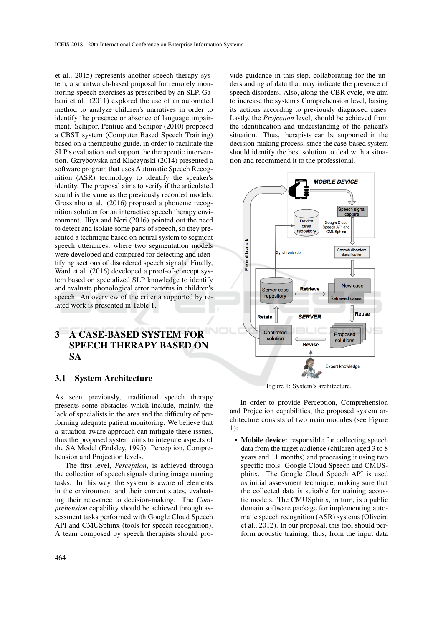et al., 2015) represents another speech therapy system, a smartwatch-based proposal for remotely monitoring speech exercises as prescribed by an SLP. Gabani et al. (2011) explored the use of an automated method to analyze children's narratives in order to identify the presence or absence of language impairment. Schipor, Pentiuc and Schipor (2010) proposed a CBST system (Computer Based Speech Training) based on a therapeutic guide, in order to facilitate the SLP's evaluation and support the therapeutic intervention. Gzrybowska and Klaczynski (2014) presented a software program that uses Automatic Speech Recognition (ASR) technology to identify the speaker's identity. The proposal aims to verify if the articulated sound is the same as the previously recorded models. Grossinho et al. (2016) proposed a phoneme recognition solution for an interactive speech therapy environment. Iliya and Neri (2016) pointed out the need to detect and isolate some parts of speech, so they presented a technique based on neural system to segment speech utterances, where two segmentation models were developed and compared for detecting and identifying sections of disordered speech signals. Finally, Ward et al. (2016) developed a proof-of-concept system based on specialized SLP knowledge to identify and evaluate phonological error patterns in children's speech. An overview of the criteria supported by related work is presented in Table 1.

# 3 A CASE-BASED SYSTEM FOR SPEECH THERAPY BASED ON SA

### 3.1 System Architecture

As seen previously, traditional speech therapy presents some obstacles which include, mainly, the lack of specialists in the area and the difficulty of performing adequate patient monitoring. We believe that a situation-aware approach can mitigate these issues, thus the proposed system aims to integrate aspects of the SA Model (Endsley, 1995): Perception, Comprehension and Projection levels.

The first level, *Perception*, is achieved through the collection of speech signals during image naming tasks. In this way, the system is aware of elements in the environment and their current states, evaluating their relevance to decision-making. The *Comprehension* capability should be achieved through assessment tasks performed with Google Cloud Speech API and CMUSphinx (tools for speech recognition). A team composed by speech therapists should pro-

vide guidance in this step, collaborating for the understanding of data that may indicate the presence of speech disorders. Also, along the CBR cycle, we aim to increase the system's Comprehension level, basing its actions according to previously diagnosed cases. Lastly, the *Projection* level, should be achieved from the identification and understanding of the patient's situation. Thus, therapists can be supported in the decision-making process, since the case-based system should identify the best solution to deal with a situation and recommend it to the professional.



Figure 1: System's architecture.

In order to provide Perception, Comprehension and Projection capabilities, the proposed system architecture consists of two main modules (see Figure 1):

• Mobile device: responsible for collecting speech data from the target audience (children aged 3 to 8 years and 11 months) and processing it using two specific tools: Google Cloud Speech and CMUSphinx. The Google Cloud Speech API is used as initial assessment technique, making sure that the collected data is suitable for training acoustic models. The CMUSphinx, in turn, is a public domain software package for implementing automatic speech recognition (ASR) systems (Oliveira et al., 2012). In our proposal, this tool should perform acoustic training, thus, from the input data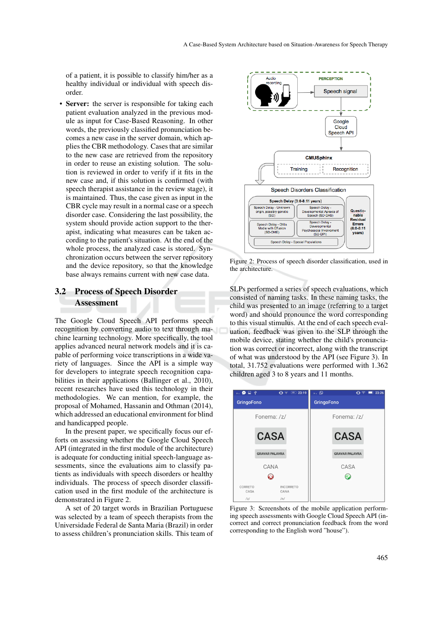of a patient, it is possible to classify him/her as a healthy individual or individual with speech disorder.

• Server: the server is responsible for taking each patient evaluation analyzed in the previous module as input for Case-Based Reasoning. In other words, the previously classified pronunciation becomes a new case in the server domain, which applies the CBR methodology. Cases that are similar to the new case are retrieved from the repository in order to reuse an existing solution. The solution is reviewed in order to verify if it fits in the new case and, if this solution is confirmed (with speech therapist assistance in the review stage), it is maintained. Thus, the case given as input in the CBR cycle may result in a normal case or a speech disorder case. Considering the last possibility, the system should provide action support to the therapist, indicating what measures can be taken according to the patient's situation. At the end of the whole process, the analyzed case is stored. Synchronization occurs between the server repository and the device repository, so that the knowledge base always remains current with new case data.

# 3.2 Process of Speech Disorder **Assessment**

The Google Cloud Speech API performs speech recognition by converting audio to text through machine learning technology. More specifically, the tool applies advanced neural network models and it is capable of performing voice transcriptions in a wide variety of languages. Since the API is a simple way for developers to integrate speech recognition capabilities in their applications (Ballinger et al., 2010), recent researches have used this technology in their methodologies. We can mention, for example, the proposal of Mohamed, Hassanin and Othman (2014), which addressed an educational environment for blind and handicapped people.

In the present paper, we specifically focus our efforts on assessing whether the Google Cloud Speech API (integrated in the first module of the architecture) is adequate for conducting initial speech-language assessments, since the evaluations aim to classify patients as individuals with speech disorders or healthy individuals. The process of speech disorder classification used in the first module of the architecture is demonstrated in Figure 2.

A set of 20 target words in Brazilian Portuguese was selected by a team of speech therapists from the Universidade Federal de Santa Maria (Brazil) in order to assess children's pronunciation skills. This team of



Figure 2: Process of speech disorder classification, used in the architecture.

SLPs performed a series of speech evaluations, which consisted of naming tasks. In these naming tasks, the child was presented to an image (referring to a target word) and should pronounce the word corresponding to this visual stimulus. At the end of each speech evaluation, feedback was given to the SLP through the mobile device, stating whether the child's pronunciation was correct or incorrect, along with the transcript of what was understood by the API (see Figure 3). In total, 31.752 evaluations were performed with 1.362 children aged 3 to 8 years and 11 months.



Figure 3: Screenshots of the mobile application performing speech assessments with Google Cloud Speech API (incorrect and correct pronunciation feedback from the word corresponding to the English word "house").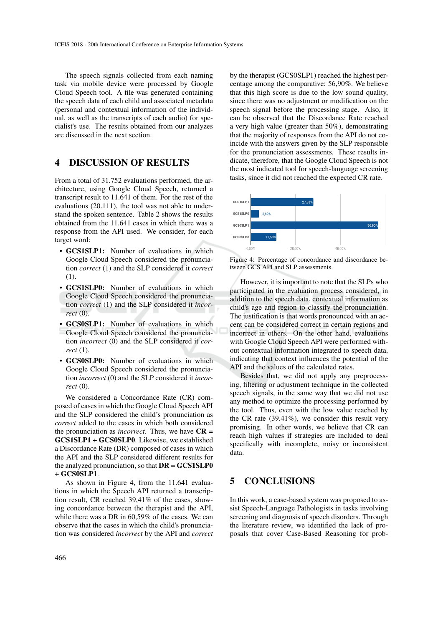The speech signals collected from each naming task via mobile device were processed by Google Cloud Speech tool. A file was generated containing the speech data of each child and associated metadata (personal and contextual information of the individual, as well as the transcripts of each audio) for specialist's use. The results obtained from our analyzes are discussed in the next section.

# 4 DISCUSSION OF RESULTS

From a total of 31.752 evaluations performed, the architecture, using Google Cloud Speech, returned a transcript result to 11.641 of them. For the rest of the evaluations (20.111), the tool was not able to understand the spoken sentence. Table 2 shows the results obtained from the 11.641 cases in which there was a response from the API used. We consider, for each target word:

- GCS1SLP1: Number of evaluations in which Google Cloud Speech considered the pronunciation *correct* (1) and the SLP considered it *correct* (1).
- GCS1SLP0: Number of evaluations in which Google Cloud Speech considered the pronunciation *correct* (1) and the SLP considered it *incorrect* (0).
- GCS0SLP1: Number of evaluations in which Google Cloud Speech considered the pronunciation *incorrect* (0) and the SLP considered it *correct* (1).
- GCS0SLP0: Number of evaluations in which Google Cloud Speech considered the pronunciation *incorrect* (0) and the SLP considered it *incorrect* (0).

We considered a Concordance Rate (CR) composed of cases in which the Google Cloud Speech API and the SLP considered the child's pronunciation as *correct* added to the cases in which both considered the pronunciation as *incorrect*. Thus, we have  $CR =$ GCS1SLP1 + GCS0SLP0. Likewise, we established a Discordance Rate (DR) composed of cases in which the API and the SLP considered different results for the analyzed pronunciation, so that  $\mathbf{DR} = \mathbf{GCS1SLP0}$ + GCS0SLP1.

As shown in Figure 4, from the 11.641 evaluations in which the Speech API returned a transcription result, CR reached 39,41% of the cases, showing concordance between the therapist and the API, while there was a DR in 60,59% of the cases. We can observe that the cases in which the child's pronunciation was considered *incorrect* by the API and *correct* by the therapist (GCS0SLP1) reached the highest percentage among the comparative: 56,90%. We believe that this high score is due to the low sound quality, since there was no adjustment or modification on the speech signal before the processing stage. Also, it can be observed that the Discordance Rate reached a very high value (greater than 50%), demonstrating that the majority of responses from the API do not coincide with the answers given by the SLP responsible for the pronunciation assessments. These results indicate, therefore, that the Google Cloud Speech is not the most indicated tool for speech-language screening tasks, since it did not reached the expected CR rate.



Figure 4: Percentage of concordance and discordance between GCS API and SLP assessments.

However, it is important to note that the SLPs who participated in the evaluation process considered, in addition to the speech data, contextual information as child's age and region to classify the pronunciation. The justification is that words pronounced with an accent can be considered correct in certain regions and incorrect in others. On the other hand, evaluations with Google Cloud Speech API were performed without contextual information integrated to speech data, indicating that context influences the potential of the API and the values of the calculated rates.

Besides that, we did not apply any preprocessing, filtering or adjustment technique in the collected speech signals, in the same way that we did not use any method to optimize the processing performed by the tool. Thus, even with the low value reached by the CR rate (39.41%), we consider this result very promising. In other words, we believe that CR can reach high values if strategies are included to deal specifically with incomplete, noisy or inconsistent data.

## 5 CONCLUSIONS

In this work, a case-based system was proposed to assist Speech-Language Pathologists in tasks involving screening and diagnosis of speech disorders. Through the literature review, we identified the lack of proposals that cover Case-Based Reasoning for prob-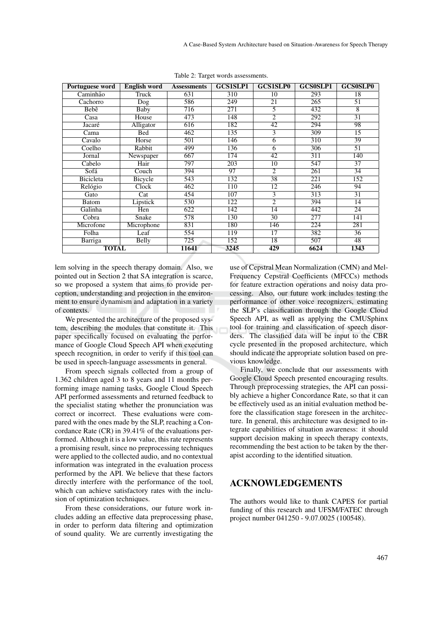| Portuguese word  | <b>English word</b> | <b>Assessments</b> | <b>GCS1SLP1</b>  | <b>GCS1SLP0</b> | <b>GCS0SLP1</b>  | <b>GCS0SLP0</b> |
|------------------|---------------------|--------------------|------------------|-----------------|------------------|-----------------|
| Caminhão         | Truck               | 631                | 310              | 10              | 293              | 18              |
| Cachorro         | Dog                 | 586                | 249              | 21              | 265              | 51              |
| Bebê             | <b>Baby</b>         | 716                | $\overline{271}$ | 5               | 432              | $\overline{8}$  |
| Casa             | House               | 473                | 148              | $\overline{2}$  | 292              | $\overline{31}$ |
| Jacaré           | Alligator           | 616                | 182              | 42              | 294              | 98              |
| Cama             | Bed                 | 462                | 135              | $\overline{3}$  | 309              | $\overline{15}$ |
| Cavalo           | Horse               | 501                | 146              | 6               | 310              | 39              |
| Coelho           | Rabbit              | 499                | 136              | $\overline{6}$  | 306              | $\overline{51}$ |
| Jornal           | Newspaper           | 667                | 174              | 42              | $\overline{311}$ | 140             |
| Cabelo           | Hair                | 797                | 203              | 10              | 547              | 37              |
| Sofá             | Couch               | 394                | 97               | $\overline{2}$  | 261              | 34              |
| <b>Bicicleta</b> | <b>Bicycle</b>      | 543                | 132              | 38              | $\overline{221}$ | 152             |
| Relógio          | Clock               | 462                | 110              | 12              | 246              | 94              |
| Gato             | Cat                 | 454                | 107              | $\overline{3}$  | 313              | $\overline{31}$ |
| Batom            | Lipstick            | 530                | 122              | $\overline{2}$  | 394              | 14              |
| Galinha          | Hen                 | 622                | 142              | 14              | 442              | 24              |
| Cobra            | Snake               | 578                | 130              | $\overline{30}$ | 277              | 141             |
| Microfone        | Microphone          | 831                | 180              | 146             | 224              | 281             |
| Folha            | Leaf                | 554                | 119              | 17              | 382              | 36              |
| Barriga          | <b>Belly</b>        | $\overline{725}$   | 152              | $\overline{18}$ | 507              | 48              |
| <b>TOTAL</b>     |                     | 11641              | 3245             | 429             | 6624             | 1343            |

Table 2: Target words assessments.

lem solving in the speech therapy domain. Also, we pointed out in Section 2 that SA integration is scarce, so we proposed a system that aims to provide perception, understanding and projection in the environment to ensure dynamism and adaptation in a variety of contexts.

We presented the architecture of the proposed system, describing the modules that constitute it. This paper specifically focused on evaluating the performance of Google Cloud Speech API when executing speech recognition, in order to verify if this tool can be used in speech-language assessments in general.

From speech signals collected from a group of 1.362 children aged 3 to 8 years and 11 months performing image naming tasks, Google Cloud Speech API performed assessments and returned feedback to the specialist stating whether the pronunciation was correct or incorrect. These evaluations were compared with the ones made by the SLP, reaching a Concordance Rate (CR) in 39.41% of the evaluations performed. Although it is a low value, this rate represents a promising result, since no preprocessing techniques were applied to the collected audio, and no contextual information was integrated in the evaluation process performed by the API. We believe that these factors directly interfere with the performance of the tool, which can achieve satisfactory rates with the inclusion of optimization techniques.

From these considerations, our future work includes adding an effective data preprocessing phase, in order to perform data filtering and optimization of sound quality. We are currently investigating the

use of Cepstral Mean Normalization (CMN) and Mel-Frequency Cepstral Coefficients (MFCCs) methods for feature extraction operations and noisy data processing. Also, our future work includes testing the performance of other voice recognizers, estimating the SLP's classification through the Google Cloud Speech API, as well as applying the CMUSphinx tool for training and classification of speech disorders. The classified data will be input to the CBR cycle presented in the proposed architecture, which should indicate the appropriate solution based on previous knowledge.

Finally, we conclude that our assessments with Google Cloud Speech presented encouraging results. Through preprocessing strategies, the API can possibly achieve a higher Concordance Rate, so that it can be effectively used as an initial evaluation method before the classification stage foreseen in the architecture. In general, this architecture was designed to integrate capabilities of situation awareness: it should support decision making in speech therapy contexts, recommending the best action to be taken by the therapist according to the identified situation.

## ACKNOWLEDGEMENTS

The authors would like to thank CAPES for partial funding of this research and UFSM/FATEC through project number 041250 - 9.07.0025 (100548).